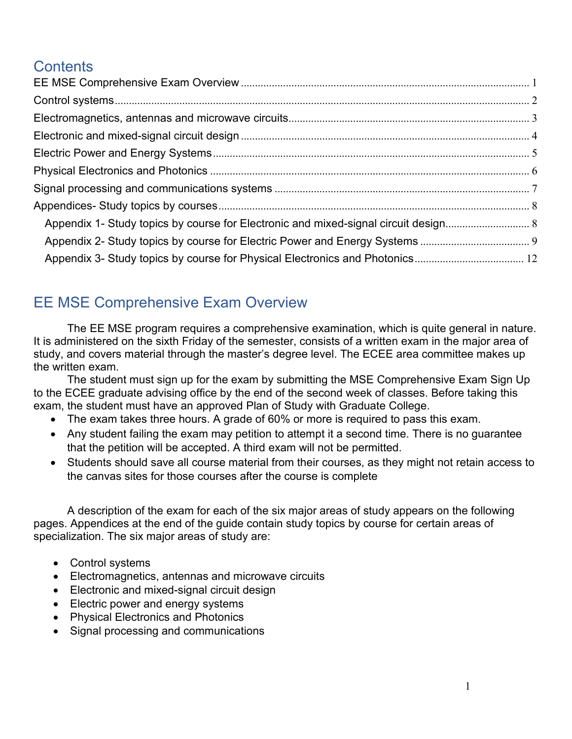# **Contents**

| Appendix 1- Study topics by course for Electronic and mixed-signal circuit design 8 |  |
|-------------------------------------------------------------------------------------|--|
|                                                                                     |  |
|                                                                                     |  |
|                                                                                     |  |

# <span id="page-0-0"></span>EE MSE Comprehensive Exam Overview

The EE MSE program requires a comprehensive examination, which is quite general in nature. It is administered on the sixth Friday of the semester, consists of a written exam in the major area of study, and covers material through the master's degree level. The ECEE area committee makes up the written exam.

The student must sign up for the exam by submitting the MSE Comprehensive Exam Sign Up to the ECEE graduate advising office by the end of the second week of classes. Before taking this exam, the student must have an approved Plan of Study with Graduate College.

- The exam takes three hours. A grade of 60% or more is required to pass this exam.
- Any student failing the exam may petition to attempt it a second time. There is no guarantee that the petition will be accepted. A third exam will not be permitted.
- Students should save all course material from their courses, as they might not retain access to the canvas sites for those courses after the course is complete

A description of the exam for each of the six major areas of study appears on the following pages. Appendices at the end of the guide contain study topics by course for certain areas of specialization. The six major areas of study are:

- Control systems
- Electromagnetics, antennas and microwave circuits
- Electronic and mixed-signal circuit design
- Electric power and energy systems
- Physical Electronics and Photonics
- Signal processing and communications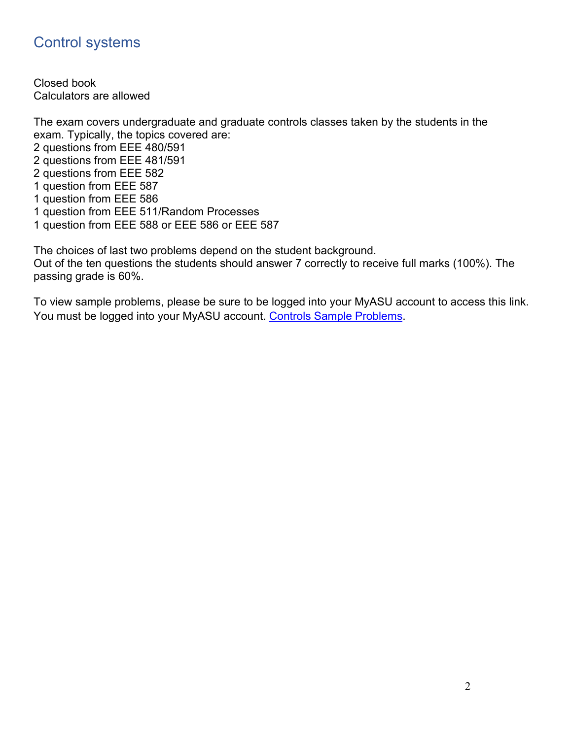## <span id="page-1-0"></span>Control systems

Closed book Calculators are allowed

The exam covers undergraduate and graduate controls classes taken by the students in the exam. Typically, the topics covered are: 2 questions from EEE 480/591 2 questions from EEE 481/591 2 questions from EEE 582 1 question from EEE 587 1 question from EEE 586 1 question from EEE 511/Random Processes 1 question from EEE 588 or EEE 586 or EEE 587

The choices of last two problems depend on the student background. Out of the ten questions the students should answer 7 correctly to receive full marks (100%). The passing grade is 60%.

To view sample problems, please be sure to be logged into your MyASU account to access this link. You must be logged into your MyASU account. [Controls Sample Problems.](https://arizonastateu.sharepoint.com/:b:/s/O365FSEECEEAdvising/Grad/EVjTRYZhmLZKg8oxh6glCIYBitSgOybbB80lOsmTFQ3lHA?e=q7lay5)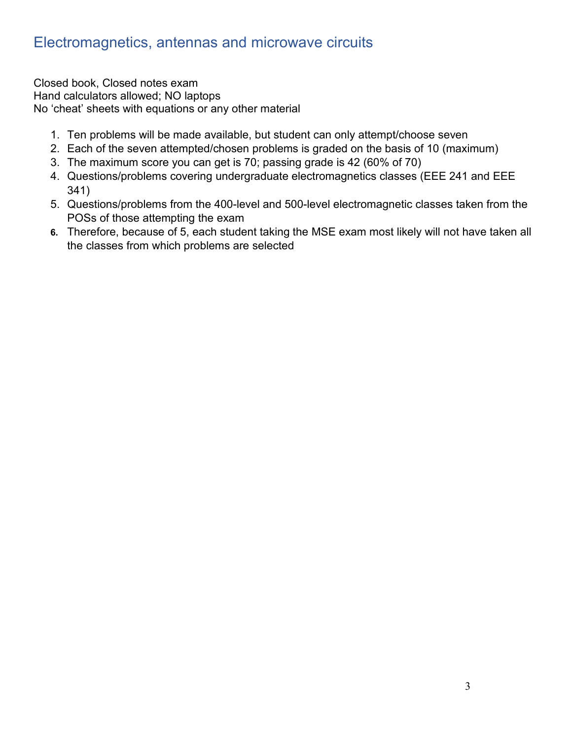## <span id="page-2-0"></span>Electromagnetics, antennas and microwave circuits

Closed book, Closed notes exam Hand calculators allowed; NO laptops No 'cheat' sheets with equations or any other material

- 1. Ten problems will be made available, but student can only attempt/choose seven
- 2. Each of the seven attempted/chosen problems is graded on the basis of 10 (maximum)
- 3. The maximum score you can get is 70; passing grade is 42 (60% of 70)
- 4. Questions/problems covering undergraduate electromagnetics classes (EEE 241 and EEE 341)
- 5. Questions/problems from the 400-level and 500-level electromagnetic classes taken from the POSs of those attempting the exam
- **6.** Therefore, because of 5, each student taking the MSE exam most likely will not have taken all the classes from which problems are selected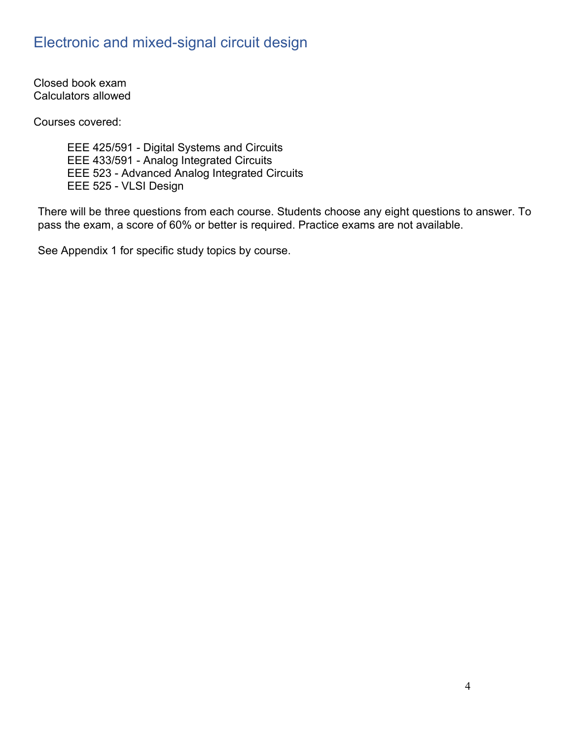## <span id="page-3-0"></span>Electronic and mixed-signal circuit design

Closed book exam Calculators allowed

Courses covered:

EEE 425/591 - Digital Systems and Circuits EEE 433/591 - Analog Integrated Circuits EEE 523 - Advanced Analog Integrated Circuits EEE 525 - VLSI Design

There will be three questions from each course. Students choose any eight questions to answer. To pass the exam, a score of 60% or better is required. Practice exams are not available.

See Appendix 1 for specific study topics by course.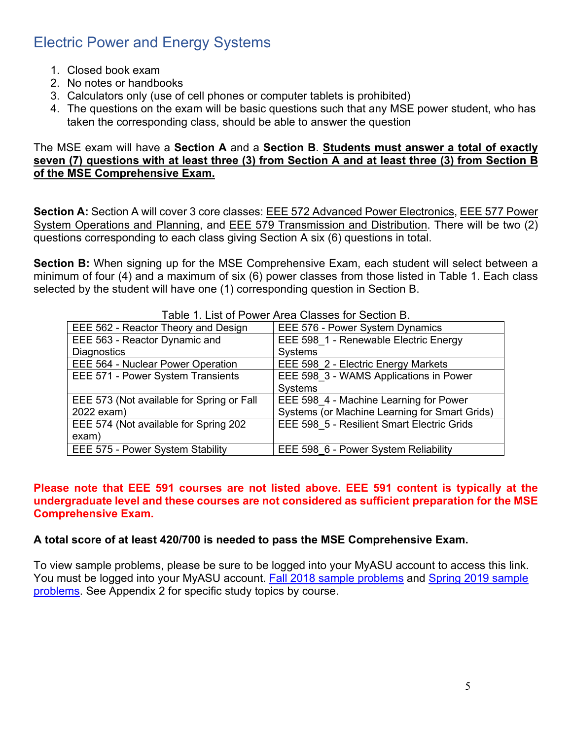## <span id="page-4-0"></span>Electric Power and Energy Systems

- 1. Closed book exam
- 2. No notes or handbooks
- 3. Calculators only (use of cell phones or computer tablets is prohibited)
- 4. The questions on the exam will be basic questions such that any MSE power student, who has taken the corresponding class, should be able to answer the question

#### The MSE exam will have a **Section A** and a **Section B**. **Students must answer a total of exactly seven (7) questions with at least three (3) from Section A and at least three (3) from Section B of the MSE Comprehensive Exam.**

**Section A:** Section A will cover 3 core classes: EEE 572 Advanced Power Electronics, EEE 577 Power System Operations and Planning, and EEE 579 Transmission and Distribution. There will be two (2) questions corresponding to each class giving Section A six (6) questions in total.

**Section B:** When signing up for the MSE Comprehensive Exam, each student will select between a minimum of four (4) and a maximum of six (6) power classes from those listed in Table 1. Each class selected by the student will have one (1) corresponding question in Section B.

| Table T. List of Power Area Classes for Section B. |
|----------------------------------------------------|
| EEE 576 - Power System Dynamics                    |
| EEE 598 1 - Renewable Electric Energy              |
| Systems                                            |
| EEE 598 2 - Electric Energy Markets                |
| EEE 598 3 - WAMS Applications in Power             |
| Systems                                            |
| EEE 598 4 - Machine Learning for Power             |
| Systems (or Machine Learning for Smart Grids)      |
| EEE 598 5 - Resilient Smart Electric Grids         |
|                                                    |
| EEE 598 6 - Power System Reliability               |
|                                                    |

Table 1. List of Power Area Classes for Section B.

#### **Please note that EEE 591 courses are not listed above. EEE 591 content is typically at the undergraduate level and these courses are not considered as sufficient preparation for the MSE Comprehensive Exam.**

## **A total score of at least 420/700 is needed to pass the MSE Comprehensive Exam.**

To view sample problems, please be sure to be logged into your MyASU account to access this link. You must be logged into your MyASU account. [Fall 2018 sample problems](https://arizonastateu.sharepoint.com/:b:/s/O365FSEECEEAdvising/Grad/EZPiLUBe0BlItl5Qus9w_vcBPpGwXaR94Tc9umed6mzxIA?e=nJCbHh) and [Spring 2019 sample](https://arizonastateu.sharepoint.com/:b:/s/O365FSEECEEAdvising/Grad/EcMa8rO_rwdAstn7dARARPQBb5pRvkqpPmdVZFaiGVIdcg?e=1QmpN1)  [problems.](https://arizonastateu.sharepoint.com/:b:/s/O365FSEECEEAdvising/Grad/EcMa8rO_rwdAstn7dARARPQBb5pRvkqpPmdVZFaiGVIdcg?e=1QmpN1) See Appendix 2 for specific study topics by course.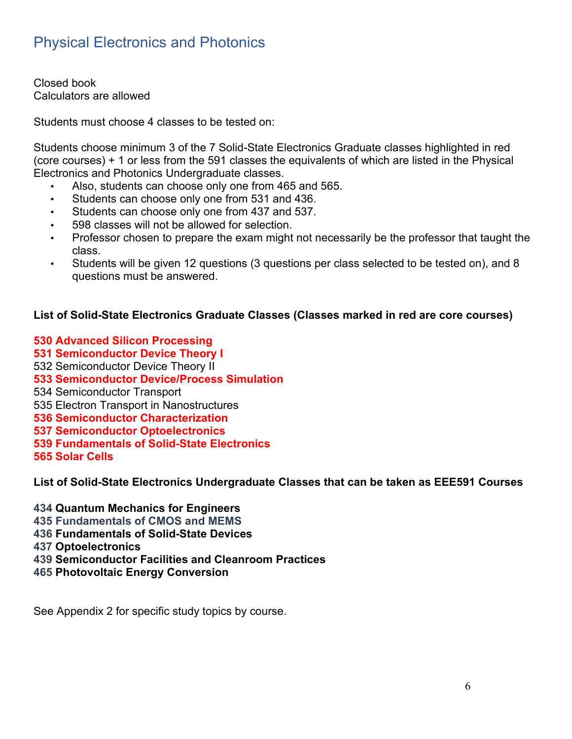# <span id="page-5-0"></span>Physical Electronics and Photonics

Closed book Calculators are allowed

Students must choose 4 classes to be tested on:

Students choose minimum 3 of the 7 Solid-State Electronics Graduate classes highlighted in red (core courses) + 1 or less from the 591 classes the equivalents of which are listed in the Physical Electronics and Photonics Undergraduate classes.

- Also, students can choose only one from 465 and 565.
- Students can choose only one from 531 and 436.
- Students can choose only one from 437 and 537.
- 598 classes will not be allowed for selection.
- Professor chosen to prepare the exam might not necessarily be the professor that taught the class.
- Students will be given 12 questions (3 questions per class selected to be tested on), and 8 questions must be answered.

## **List of Solid-State Electronics Graduate Classes (Classes marked in red are core courses)**

**530 Advanced Silicon Processing**

- **531 Semiconductor Device Theory I**
- 532 [Semiconductor Device Theory II](https://ex2010.asu.edu/owa/redir.aspx?SURL=0cAtiw2VONu8kSKOn99j4fxCdvTGEcpM6IlxCfe7PsXp8q-Kxj7TCGgAdAB0AHAAcwA6AC8ALwB3AGUAYgBhAHAAcAA0AC4AYQBzAHUALgBlAGQAdQAvAGMAYQB0AGEAbABvAGcALwBjAG8AdQByAHMAZQA_AHMAPQBFAEUARQAmAG4APQA1ADMAMgAmAGMAPQAmAHQAPQAyADEANgA3ACYAZgA9ACYAcgA9ACYAaQA9ADEAMAA1ADAAMgAxAA..&URL=https%3a%2f%2fwebapp4.asu.edu%2fcatalog%2fcourse%3fs%3dEEE%26n%3d532%26c%3d%26t%3d2167%26f%3d%26r%3d%26i%3d105021)
- **533 Semiconductor Device/Process Simulation**
- 534 Semiconductor Transport
- 535 [Electron Transport in Nanostructures](https://ex2010.asu.edu/owa/redir.aspx?SURL=Rs_8UB878Uo1XmWyF6RoloYupE30hxgBLwxEjHRcYrjp8q-Kxj7TCGgAdAB0AHAAcwA6AC8ALwB3AGUAYgBhAHAAcAA0AC4AYQBzAHUALgBlAGQAdQAvAGMAYQB0AGEAbABvAGcALwBjAG8AdQByAHMAZQA_AHMAPQBFAEUARQAmAG4APQA1ADMANQAmAGMAPQAmAHQAPQAyADEANgA3ACYAZgA9ACYAcgA9ACYAaQA9ADEAMAA1ADAAMgA0AA..&URL=https%3a%2f%2fwebapp4.asu.edu%2fcatalog%2fcourse%3fs%3dEEE%26n%3d535%26c%3d%26t%3d2167%26f%3d%26r%3d%26i%3d105024)
- **536 Semiconductor Characterization**
- **537 Semiconductor Optoelectronics**
- **539 Fundamentals of Solid-State Electronics**
- **565 Solar Cells**

**List of Solid-State Electronics Undergraduate Classes that can be taken as EEE591 Courses**

**434 Quantum Mechanics for Engineers**

- **435 Fundamentals of CMOS and MEMS**
- **436 Fundamentals of Solid-State Devices**
- **437 Optoelectronics**
- **439 Semiconductor Facilities and Cleanroom Practices**
- **465 Photovoltaic Energy Conversion**

See Appendix 2 for specific study topics by course.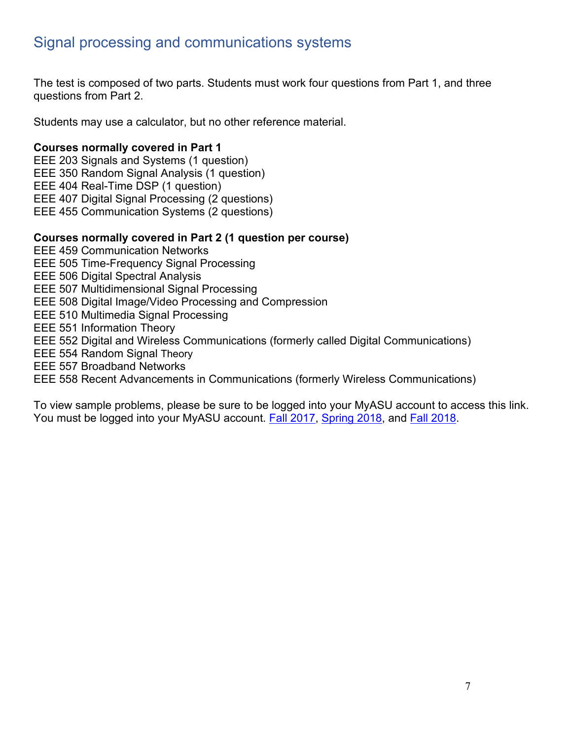## <span id="page-6-0"></span>Signal processing and communications systems

The test is composed of two parts. Students must work four questions from Part 1, and three questions from Part 2.

Students may use a calculator, but no other reference material.

#### **Courses normally covered in Part 1**

- EEE 203 Signals and Systems (1 question)
- EEE 350 Random Signal Analysis (1 question)
- EEE 404 Real-Time DSP (1 question)
- EEE 407 Digital Signal Processing (2 questions)
- EEE 455 Communication Systems (2 questions)

#### **Courses normally covered in Part 2 (1 question per course)**

- EEE 459 Communication Networks
- EEE 505 Time-Frequency Signal Processing
- EEE 506 Digital Spectral Analysis
- EEE 507 Multidimensional Signal Processing
- EEE 508 Digital Image/Video Processing and Compression
- EEE 510 Multimedia Signal Processing
- EEE 551 Information Theory
- EEE 552 Digital and Wireless Communications (formerly called Digital Communications)
- EEE 554 Random Signal Theory
- EEE 557 Broadband Networks
- EEE 558 Recent Advancements in Communications (formerly Wireless Communications)

To view sample problems, please be sure to be logged into your MyASU account to access this link. You must be logged into your MyASU account. [Fall 2017,](https://arizonastateu.sharepoint.com/:b:/s/O365FSEECEEAdvising/Grad/EYYMrEwUL8ZFkUWKUMBgQtABa2E2uOrfTMmAmzLpwvDNig?e=GHaaw0) [Spring 2018,](https://arizonastateu.sharepoint.com/:b:/s/O365FSEECEEAdvising/Grad/Ea6kzSWSRgJGhwqabmfYNFIBF-ekZ7QW0nHfxqgCPwd82Q?e=VV6mwo) and [Fall 2018.](https://arizonastateu.sharepoint.com/:b:/s/O365FSEECEEAdvising/Grad/EVKQdYZfgf1ImbuKVrsZ7xQBzTdRU8jzmBX61NdHNPCjHQ?e=SfvhIy)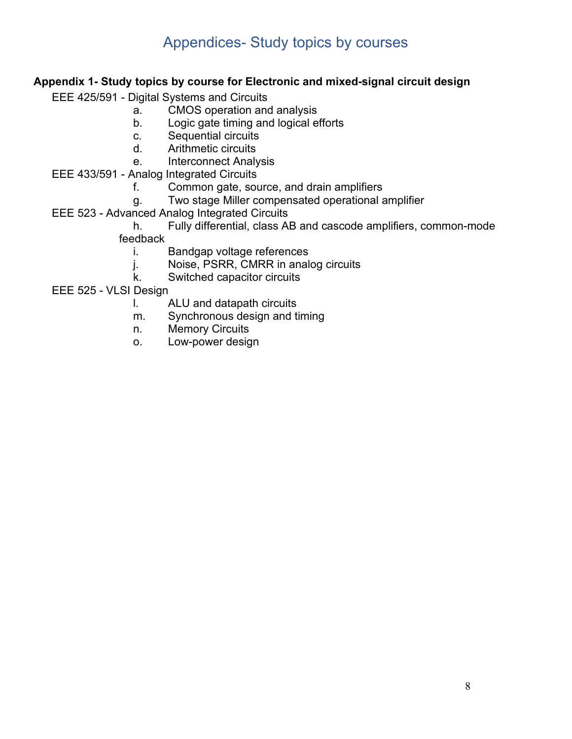## Appendices- Study topics by courses

## <span id="page-7-1"></span><span id="page-7-0"></span>**Appendix 1- Study topics by course for Electronic and mixed-signal circuit design**

EEE 425/591 - Digital Systems and Circuits

- a. CMOS operation and analysis
- b. Logic gate timing and logical efforts
- c. Sequential circuits
- d. Arithmetic circuits
- e. Interconnect Analysis
- EEE 433/591 Analog Integrated Circuits
	- f. Common gate, source, and drain amplifiers
	- g. Two stage Miller compensated operational amplifier
- EEE 523 Advanced Analog Integrated Circuits

h. Fully differential, class AB and cascode amplifiers, common-mode feedback

- i. Bandgap voltage references
- j. Noise, PSRR, CMRR in analog circuits
- k. Switched capacitor circuits

EEE 525 - VLSI Design

- l. ALU and datapath circuits
- m. Synchronous design and timing
- n. Memory Circuits
- o. Low-power design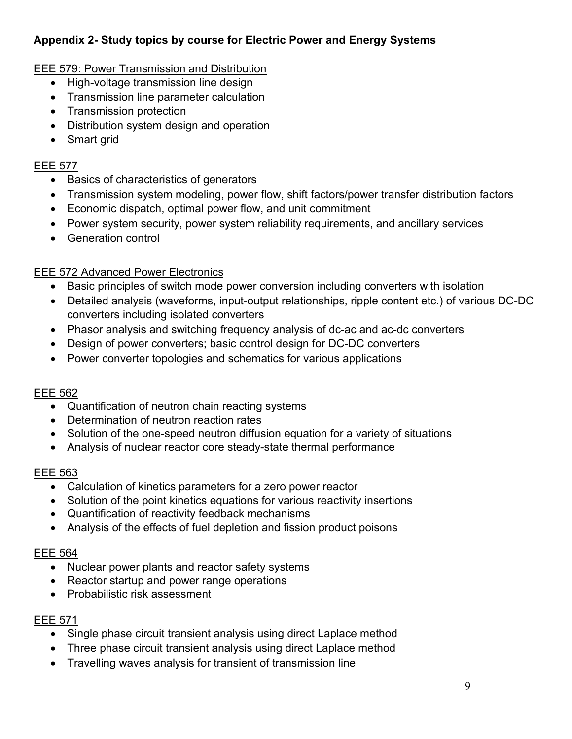## <span id="page-8-0"></span>**Appendix 2- Study topics by course for Electric Power and Energy Systems**

## EEE 579: Power Transmission and Distribution

- High-voltage transmission line design
- Transmission line parameter calculation
- Transmission protection
- Distribution system design and operation
- Smart grid

#### EEE 577

- Basics of characteristics of generators
- Transmission system modeling, power flow, shift factors/power transfer distribution factors
- Economic dispatch, optimal power flow, and unit commitment
- Power system security, power system reliability requirements, and ancillary services
- Generation control

## EEE 572 Advanced Power Electronics

- Basic principles of switch mode power conversion including converters with isolation
- Detailed analysis (waveforms, input-output relationships, ripple content etc.) of various DC-DC converters including isolated converters
- Phasor analysis and switching frequency analysis of dc-ac and ac-dc converters
- Design of power converters; basic control design for DC-DC converters
- Power converter topologies and schematics for various applications

## EEE 562

- Quantification of neutron chain reacting systems
- Determination of neutron reaction rates
- Solution of the one-speed neutron diffusion equation for a variety of situations
- Analysis of nuclear reactor core steady-state thermal performance

## EEE 563

- Calculation of kinetics parameters for a zero power reactor
- Solution of the point kinetics equations for various reactivity insertions
- Quantification of reactivity feedback mechanisms
- Analysis of the effects of fuel depletion and fission product poisons

## EEE 564

- Nuclear power plants and reactor safety systems
- Reactor startup and power range operations
- Probabilistic risk assessment

## EEE 571

- Single phase circuit transient analysis using direct Laplace method
- Three phase circuit transient analysis using direct Laplace method
- Travelling waves analysis for transient of transmission line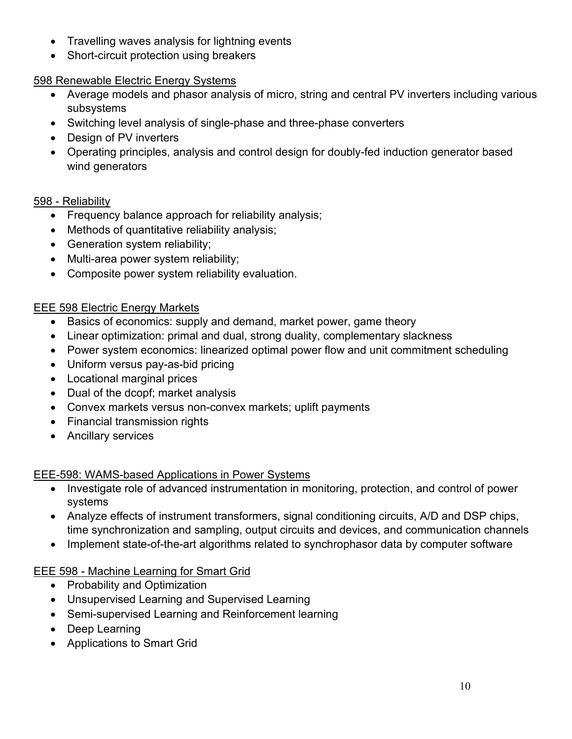- Travelling waves analysis for lightning events
- Short-circuit protection using breakers

## 598 Renewable Electric Energy Systems

- Average models and phasor analysis of micro, string and central PV inverters including various subsystems
- Switching level analysis of single-phase and three-phase converters
- Design of PV inverters
- Operating principles, analysis and control design for doubly-fed induction generator based wind generators

## 598 - Reliability

- Frequency balance approach for reliability analysis;
- Methods of quantitative reliability analysis;
- Generation system reliability;
- Multi-area power system reliability;
- Composite power system reliability evaluation.

## EEE 598 Electric Energy Markets

- Basics of economics: supply and demand, market power, game theory
- Linear optimization: primal and dual, strong duality, complementary slackness
- Power system economics: linearized optimal power flow and unit commitment scheduling
- Uniform versus pay-as-bid pricing
- Locational marginal prices
- Dual of the dcopf; market analysis
- Convex markets versus non-convex markets; uplift payments
- Financial transmission rights
- Ancillary services

## EEE-598: WAMS-based Applications in Power Systems

- Investigate role of advanced instrumentation in monitoring, protection, and control of power systems
- Analyze effects of instrument transformers, signal conditioning circuits, A/D and DSP chips, time synchronization and sampling, output circuits and devices, and communication channels
- Implement state-of-the-art algorithms related to synchrophasor data by computer software

## EEE 598 - Machine Learning for Smart Grid

- Probability and Optimization
- Unsupervised Learning and Supervised Learning
- Semi-supervised Learning and Reinforcement learning
- Deep Learning
- Applications to Smart Grid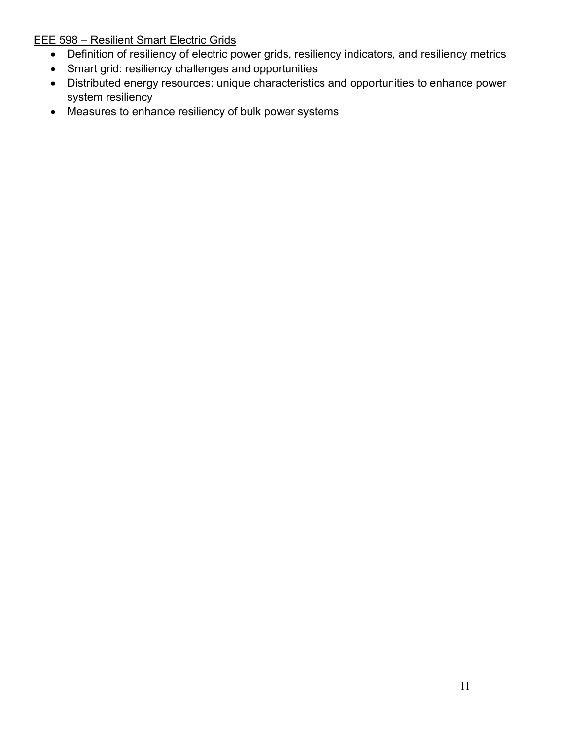EEE 598 – Resilient Smart Electric Grids

- Definition of resiliency of electric power grids, resiliency indicators, and resiliency metrics
- Smart grid: resiliency challenges and opportunities
- Distributed energy resources: unique characteristics and opportunities to enhance power system resiliency
- Measures to enhance resiliency of bulk power systems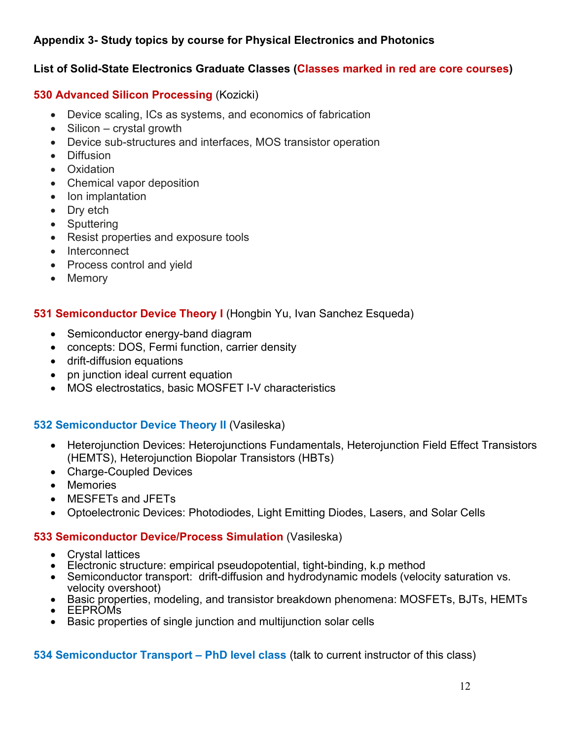## <span id="page-11-0"></span>**Appendix 3- Study topics by course for Physical Electronics and Photonics**

## **List of Solid-State Electronics Graduate Classes (Classes marked in red are core courses)**

#### **530 Advanced Silicon Processing** (Kozicki)

- Device scaling, ICs as systems, and economics of fabrication
- Silicon crystal growth
- Device sub-structures and interfaces, MOS transistor operation
- Diffusion
- Oxidation
- Chemical vapor deposition
- Ion implantation
- Dry etch
- Sputtering
- Resist properties and exposure tools
- Interconnect
- Process control and yield
- Memory

## **531 Semiconductor Device Theory I** (Hongbin Yu, Ivan Sanchez Esqueda)

- Semiconductor energy-band diagram
- concepts: DOS, Fermi function, carrier density
- drift-diffusion equations
- pn junction ideal current equation
- MOS electrostatics, basic MOSFET I-V characteristics

## **532 Semiconductor Device Theory II** (Vasileska)

- Heterojunction Devices: Heterojunctions Fundamentals, Heterojunction Field Effect Transistors (HEMTS), Heterojunction Biopolar Transistors (HBTs)
- Charge-Coupled Devices
- Memories
- MESFETs and JFETs
- Optoelectronic Devices: Photodiodes, Light Emitting Diodes, Lasers, and Solar Cells

#### **533 [Semiconductor Device/Process Simulation](https://ex2010.asu.edu/owa/redir.aspx?SURL=bdiS3LgiYBv4oGVZdn3egY_AAf_YuW3rt6P7EpwpAA7p8q-Kxj7TCGgAdAB0AHAAcwA6AC8ALwB3AGUAYgBhAHAAcAA0AC4AYQBzAHUALgBlAGQAdQAvAGMAYQB0AGEAbABvAGcALwBjAG8AdQByAHMAZQA_AHMAPQBFAEUARQAmAG4APQA1ADMAMwAmAGMAPQAmAHQAPQAyADEANgA3ACYAZgA9ACYAcgA9ACYAaQA9ADEAMAA1ADAAMgAyAA..&URL=https:%2f%2fwebapp4.asu.edu%2fcatalog%2fcourse%3fs%3dEEE%26n%3d533%26c%3d%26t%3d2167%26f%3d%26r%3d%26i%3d105022)** (Vasileska)

- Crystal lattices
- Electronic structure: empirical pseudopotential, tight-binding, k.p method
- Semiconductor transport: drift-diffusion and hydrodynamic models (velocity saturation vs. velocity overshoot)
- Basic properties, modeling, and transistor breakdown phenomena: MOSFETs, BJTs, HEMTs
- EEPROMs
- Basic properties of single junction and multijunction solar cells

## **534 Semiconductor Transport – PhD level class** (talk to current instructor of this class)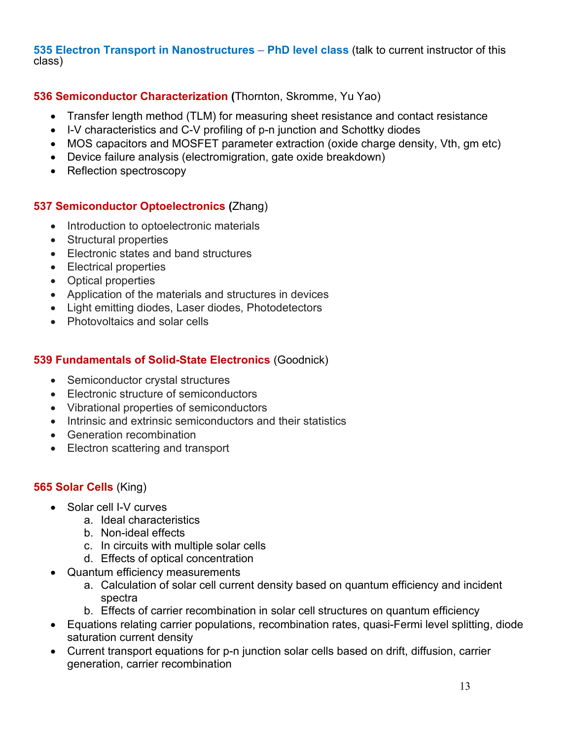**535 Electron Transport in Nanostructures** – **PhD level class** (talk to current instructor of this class)

## **536 Semiconductor Characterization (**Thornton, Skromme, Yu Yao)

- Transfer length method (TLM) for measuring sheet resistance and contact resistance
- I-V characteristics and C-V profiling of p-n junction and Schottky diodes
- MOS capacitors and MOSFET parameter extraction (oxide charge density, Vth, gm etc)
- Device failure analysis (electromigration, gate oxide breakdown)
- Reflection spectroscopy

## **537 Semiconductor Optoelectronics (**Zhang)

- Introduction to optoelectronic materials
- Structural properties
- Electronic states and band structures
- Electrical properties
- Optical properties
- Application of the materials and structures in devices
- Light emitting diodes, Laser diodes, Photodetectors
- Photovoltaics and solar cells

## **539 Fundamentals of Solid-State Electronics** (Goodnick)

- Semiconductor crystal structures
- Electronic structure of semiconductors
- Vibrational properties of semiconductors
- Intrinsic and extrinsic semiconductors and their statistics
- Generation recombination
- Electron scattering and transport

## **565 Solar Cells** (King)

- Solar cell I-V curves
	- a. Ideal characteristics
	- b. Non-ideal effects
	- c. In circuits with multiple solar cells
	- d. Effects of optical concentration
- Quantum efficiency measurements
	- a. Calculation of solar cell current density based on quantum efficiency and incident spectra
	- b. Effects of carrier recombination in solar cell structures on quantum efficiency
- Equations relating carrier populations, recombination rates, quasi-Fermi level splitting, diode saturation current density
- Current transport equations for p-n junction solar cells based on drift, diffusion, carrier generation, carrier recombination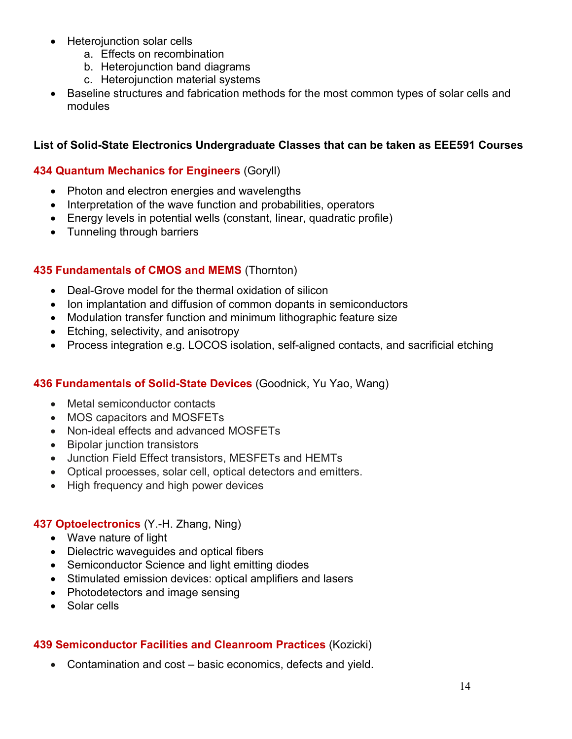- Heterojunction solar cells
	- a. Effects on recombination
	- b. Heterojunction band diagrams
	- c. Heterojunction material systems
- Baseline structures and fabrication methods for the most common types of solar cells and modules

#### **List of Solid-State Electronics Undergraduate Classes that can be taken as EEE591 Courses**

#### **434 Quantum Mechanics for Engineers** (Goryll)

- Photon and electron energies and wavelengths
- Interpretation of the wave function and probabilities, operators
- Energy levels in potential wells (constant, linear, quadratic profile)
- Tunneling through barriers

## **435 Fundamentals of CMOS and MEMS** (Thornton)

- Deal-Grove model for the thermal oxidation of silicon
- Ion implantation and diffusion of common dopants in semiconductors
- Modulation transfer function and minimum lithographic feature size
- Etching, selectivity, and anisotropy
- Process integration e.g. LOCOS isolation, self-aligned contacts, and sacrificial etching

#### **436 Fundamentals of Solid-State Devices** (Goodnick, Yu Yao, Wang)

- Metal semiconductor contacts
- MOS capacitors and MOSFETs
- Non-ideal effects and advanced MOSFETs
- Bipolar junction transistors
- Junction Field Effect transistors, MESFETs and HEMTs
- Optical processes, solar cell, optical detectors and emitters.
- High frequency and high power devices

#### **437 Optoelectronics** (Y.-H. Zhang, Ning)

- Wave nature of light
- Dielectric waveguides and optical fibers
- Semiconductor Science and light emitting diodes
- Stimulated emission devices: optical amplifiers and lasers
- Photodetectors and image sensing
- Solar cells

## **439 Semiconductor Facilities and Cleanroom Practices** (Kozicki)

• Contamination and cost – basic economics, defects and yield.